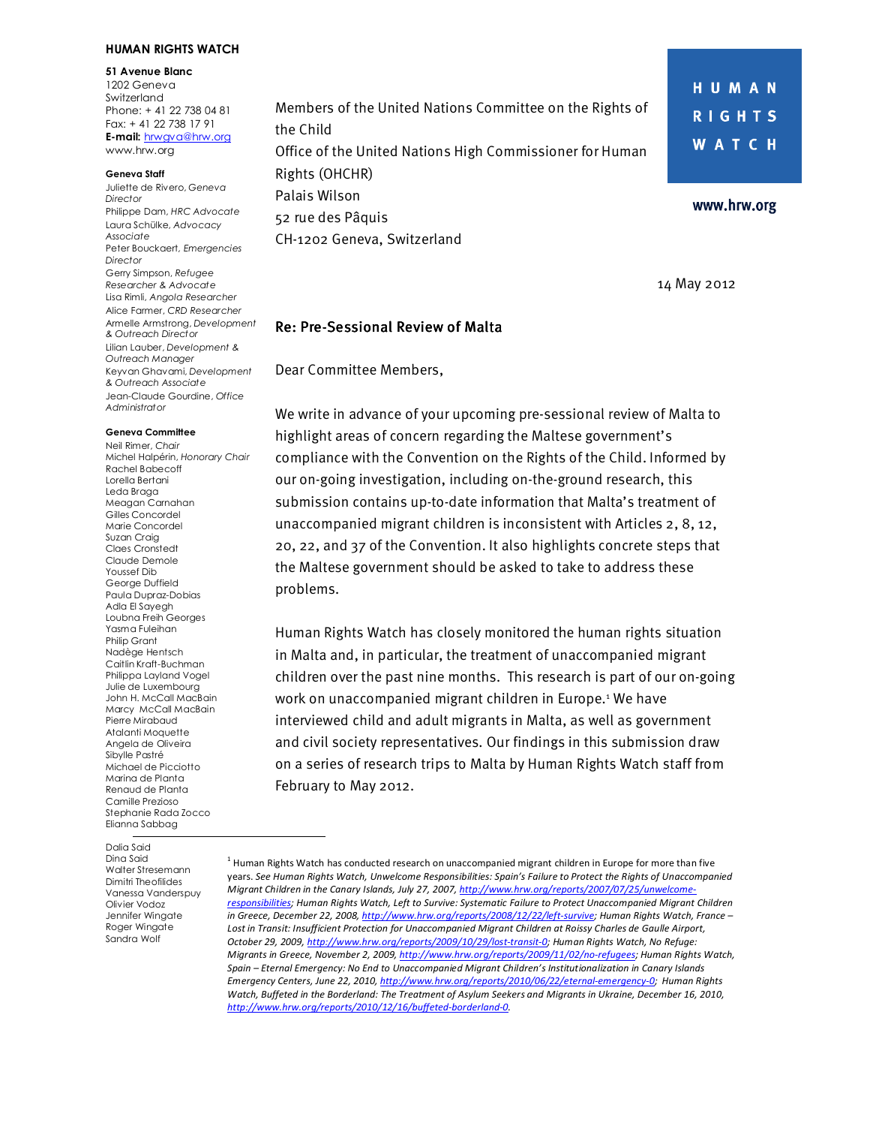#### **HUMAN RIGHTS WATCH**

**51 Avenue Blanc** 1202 Geneva Switzerland Phone: + 41 22 738 04 81 Fax: + 41 22 738 17 91 **E-mail:** hrwgva@hrw.org www.hrw.org

#### **Geneva Staff**

Juliette de Rivero, *Geneva Director*  Philippe Dam, *HRC Advocate*  Laura Schülke, *Advocacy Associate* Peter Bouckaert*, Emergencies Director*  Gerry Simpson, *Refugee Researcher & Advocate*  Lisa Rimli, *Angola Researcher*  Alice Farmer, *CRD Researcher*  Armelle Armstrong, *Development & Outreach Director* Lilian Lauber, *Development & Outreach Manager*  Keyvan Ghavami, *Development & Outreach Associate*  Jean-Claude Gourdine, *Office Administrator*

#### **Geneva Committee**

Neil Rimer, *Chair*  Michel Halpérin, *Honorary Chair*  Rachel Babecoff Lorella Bertani Leda Braga Meagan Carnahan Gilles Concordel Marie Concordel Suzan Craig Claes Cronstedt Claude Demole Youssef Dib George Duffield Paula Dupraz-Dobias Adla El Sayegh Loubna Freih Georges Yasma Fuleihan Philip Grant Nadège Hentsch Caitlin Kraft-Buchman Philippa Layland Vogel Julie de Luxembourg John H. McCall MacBain Marcy McCall MacBain Pierre Mirabaud Atalanti Moquette Angela de Oliveira Sibylle Pastré Michael de Picciotto Marina de Planta Renaud de Planta Camille Prezioso Stephanie Rada Zocco Elianna Sabbag

Dalia Said Dina Said Walter Stresemann Dimitri Theofilides Vanessa Vanderspuy Olivier Vodoz Jennifer Wingate Roger Wingate Sandra Wolf

Members of the United Nations Committee on the Rights of the Child Office of the United Nations High Commissioner for Human Rights (OHCHR) Palais Wilson 52 rue des Pâquis CH-1202 Geneva, Switzerland

14 May 2012

HUMAN

**RIGHTS** 

**WATCH** 

www.hrw.org

#### **Re: Pre-Sessional Review of Malta**

Dear Committee Members,

We write in advance of your upcoming pre-sessional review of Malta to highlight areas of concern regarding the Maltese government's compliance with the Convention on the Rights of the Child. Informed by our on-going investigation, including on-the-ground research, this submission contains up-to-date information that Malta's treatment of unaccompanied migrant children is inconsistent with Articles 2, 8, 12, 20, 22, and 37 of the Convention. It also highlights concrete steps that the Maltese government should be asked to take to address these problems.

Human Rights Watch has closely monitored the human rights situation in Malta and, in particular, the treatment of unaccompanied migrant children over the past nine months. This research is part of our on-going work on unaccompanied migrant children in Europe.<sup>1</sup> We have interviewed child and adult migrants in Malta, as well as government and civil society representatives. Our findings in this submission draw on a series of research trips to Malta by Human Rights Watch staff from February to May 2012.

<sup>&</sup>lt;sup>1</sup> Human Rights Watch has conducted research on unaccompanied migrant children in Europe for more than five years. *See Human Rights Watch, Unwelcome Responsibilities: Spain's Failure to Protect the Rights of Unaccompanied Migrant Children in the Canary Islands, July 27, 2007, http://www.hrw.org/reports/2007/07/25/unwelcomeresponsibilities; Human Rights Watch, Left to Survive: Systematic Failure to Protect Unaccompanied Migrant Children*  in Greece, December 22, 2008, http://www.hrw.org/reports/2008/12/22/left-survive; Human Rights Watch, France *Lost in Transit: Insufficient Protection for Unaccompanied Migrant Children at Roissy Charles de Gaulle Airport, October 29, 2009, http://www.hrw.org/reports/2009/10/29/lost-transit-0; Human Rights Watch, No Refuge: Migrants in Greece, November 2, 2009, http://www.hrw.org/reports/2009/11/02/no-refugees; Human Rights Watch, Spain – Eternal Emergency: No End to Unaccompanied Migrant Children's Institutionalization in Canary Islands Emergency Centers, June 22, 2010, http://www.hrw.org/reports/2010/06/22/eternal-emergency-0; Human Rights Watch, Buffeted in the Borderland: The Treatment of Asylum Seekers and Migrants in Ukraine, December 16, 2010, http://www.hrw.org/reports/2010/12/16/buffeted-borderland-0.*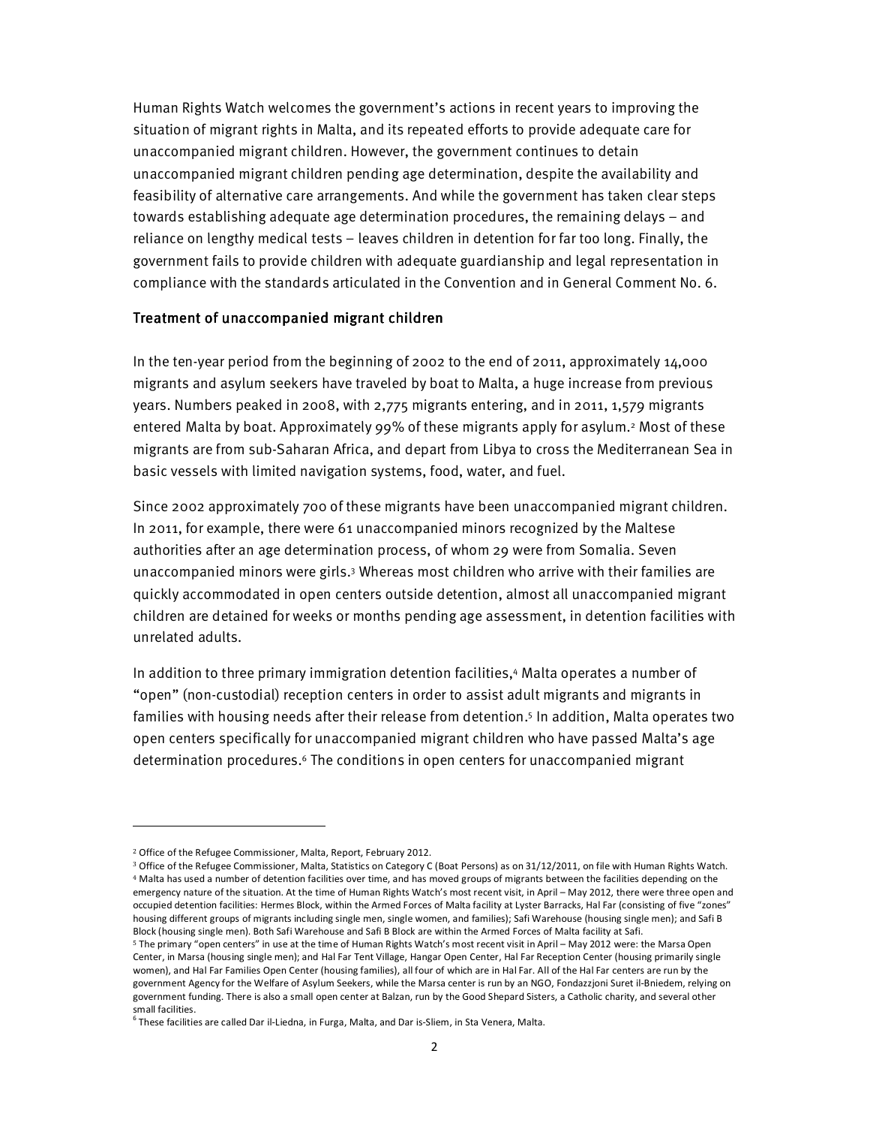Human Rights Watch welcomes the government's actions in recent years to improving the situation of migrant rights in Malta, and its repeated efforts to provide adequate care for unaccompanied migrant children. However, the government continues to detain unaccompanied migrant children pending age determination, despite the availability and feasibility of alternative care arrangements. And while the government has taken clear steps towards establishing adequate age determination procedures, the remaining delays – and reliance on lengthy medical tests – leaves children in detention for far too long. Finally, the government fails to provide children with adequate guardianship and legal representation in compliance with the standards articulated in the Convention and in General Comment No. 6.

#### Treatment of unaccompanied migrant children

In the ten-year period from the beginning of 2002 to the end of 2011, approximately 14,000 migrants and asylum seekers have traveled by boat to Malta, a huge increase from previous years. Numbers peaked in 2008, with 2,775 migrants entering, and in 2011, 1,579 migrants entered Malta by boat. Approximately 99% of these migrants apply for asylum.<sup>2</sup> Most of these migrants are from sub-Saharan Africa, and depart from Libya to cross the Mediterranean Sea in basic vessels with limited navigation systems, food, water, and fuel.

Since 2002 approximately 700 of these migrants have been unaccompanied migrant children. In 2011, for example, there were 61 unaccompanied minors recognized by the Maltese authorities after an age determination process, of whom 29 were from Somalia. Seven unaccompanied minors were girls.<sup>3</sup> Whereas most children who arrive with their families are quickly accommodated in open centers outside detention, almost all unaccompanied migrant children are detained for weeks or months pending age assessment, in detention facilities with unrelated adults.

In addition to three primary immigration detention facilities,<sup>4</sup> Malta operates a number of "open" (non-custodial) reception centers in order to assist adult migrants and migrants in families with housing needs after their release from detention.<sup>5</sup> In addition, Malta operates two open centers specifically for unaccompanied migrant children who have passed Malta's age determination procedures.<sup>6</sup> The conditions in open centers for unaccompanied migrant

<sup>2</sup> Office of the Refugee Commissioner, Malta, Report, February 2012.

<sup>&</sup>lt;sup>3</sup> Office of the Refugee Commissioner, Malta, Statistics on Category C (Boat Persons) as on 31/12/2011, on file with Human Rights Watch. <sup>4</sup> Malta has used a number of detention facilities over time, and has moved groups of migrants between the facilities depending on the emergency nature of the situation. At the time of Human Rights Watch's most recent visit, in April – May 2012, there were three open and occupied detention facilities: Hermes Block, within the Armed Forces of Malta facility at Lyster Barracks, Hal Far (consisting of five "zones" housing different groups of migrants including single men, single women, and families); Safi Warehouse (housing single men); and Safi B Block (housing single men). Both Safi Warehouse and Safi B Block are within the Armed Forces of Malta facility at Safi.

<sup>5</sup> The primary "open centers" in use at the time of Human Rights Watch's most recent visit in April – May 2012 were: the Marsa Open Center, in Marsa (housing single men); and Hal Far Tent Village, Hangar Open Center, Hal Far Reception Center (housing primarily single women), and Hal Far Families Open Center (housing families), all four of which are in Hal Far. All of the Hal Far centers are run by the government Agency for the Welfare of Asylum Seekers, while the Marsa center is run by an NGO, Fondazzjoni Suret il-Bniedem, relying on government funding. There is also a small open center at Balzan, run by the Good Shepard Sisters, a Catholic charity, and several other small facilities.

 $^6$  These facilities are called Dar il-Liedna, in Furga, Malta, and Dar is-Sliem, in Sta Venera, Malta.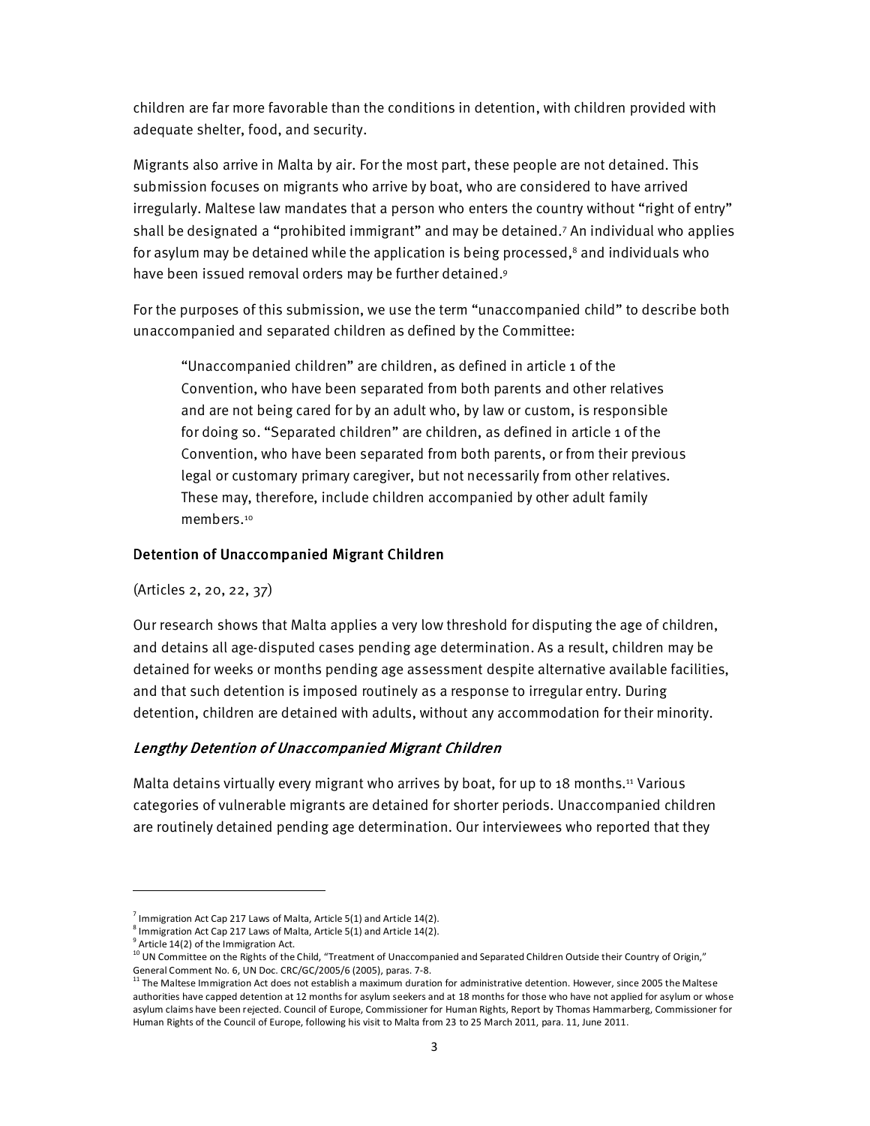children are far more favorable than the conditions in detention, with children provided with adequate shelter, food, and security.

Migrants also arrive in Malta by air. For the most part, these people are not detained. This submission focuses on migrants who arrive by boat, who are considered to have arrived irregularly. Maltese law mandates that a person who enters the country without "right of entry" shall be designated a "prohibited immigrant" and may be detained.<sup>7</sup> An individual who applies for asylum may be detained while the application is being processed, $^{\rm 8}$  and individuals who have been issued removal orders may be further detained.<sup>9</sup>

For the purposes of this submission, we use the term "unaccompanied child" to describe both unaccompanied and separated children as defined by the Committee:

"Unaccompanied children" are children, as defined in article 1 of the Convention, who have been separated from both parents and other relatives and are not being cared for by an adult who, by law or custom, is responsible for doing so. "Separated children" are children, as defined in article 1 of the Convention, who have been separated from both parents, or from their previous legal or customary primary caregiver, but not necessarily from other relatives. These may, therefore, include children accompanied by other adult family members.<sup>10</sup>

## Detention of Unaccompanied Migrant Children

(Articles 2, 20, 22, 37)

Our research shows that Malta applies a very low threshold for disputing the age of children, and detains all age-disputed cases pending age determination. As a result, children may be detained for weeks or months pending age assessment despite alternative available facilities, and that such detention is imposed routinely as a response to irregular entry. During detention, children are detained with adults, without any accommodation for their minority.

## Lengthy Detention of Unaccompanied Migrant Children

Malta detains virtually every migrant who arrives by boat, for up to 18 months.<sup>11</sup> Various categories of vulnerable migrants are detained for shorter periods. Unaccompanied children are routinely detained pending age determination. Our interviewees who reported that they

 $^7$  Immigration Act Cap 217 Laws of Malta, Article 5(1) and Article 14(2).

 $^8$  Immigration Act Cap 217 Laws of Malta, Article 5(1) and Article 14(2).

<sup>&</sup>lt;sup>9</sup> Article 14(2) of the Immigration Act.

<sup>&</sup>lt;sup>10</sup> UN Committee on the Rights of the Child, "Treatment of Unaccompanied and Separated Children Outside their Country of Origin," General Comment No. 6, UN Doc. CRC/GC/2005/6 (2005), paras. 7-8.<br><sup>11</sup> The Maltese Immigration Act does not establish a maximum duration for administrative detention. However, since 2005 the Maltese

authorities have capped detention at 12 months for asylum seekers and at 18 months for those who have not applied for asylum or whose asylum claims have been rejected. Council of Europe, Commissioner for Human Rights, Report by Thomas Hammarberg, Commissioner for Human Rights of the Council of Europe, following his visit to Malta from 23 to 25 March 2011, para. 11, June 2011.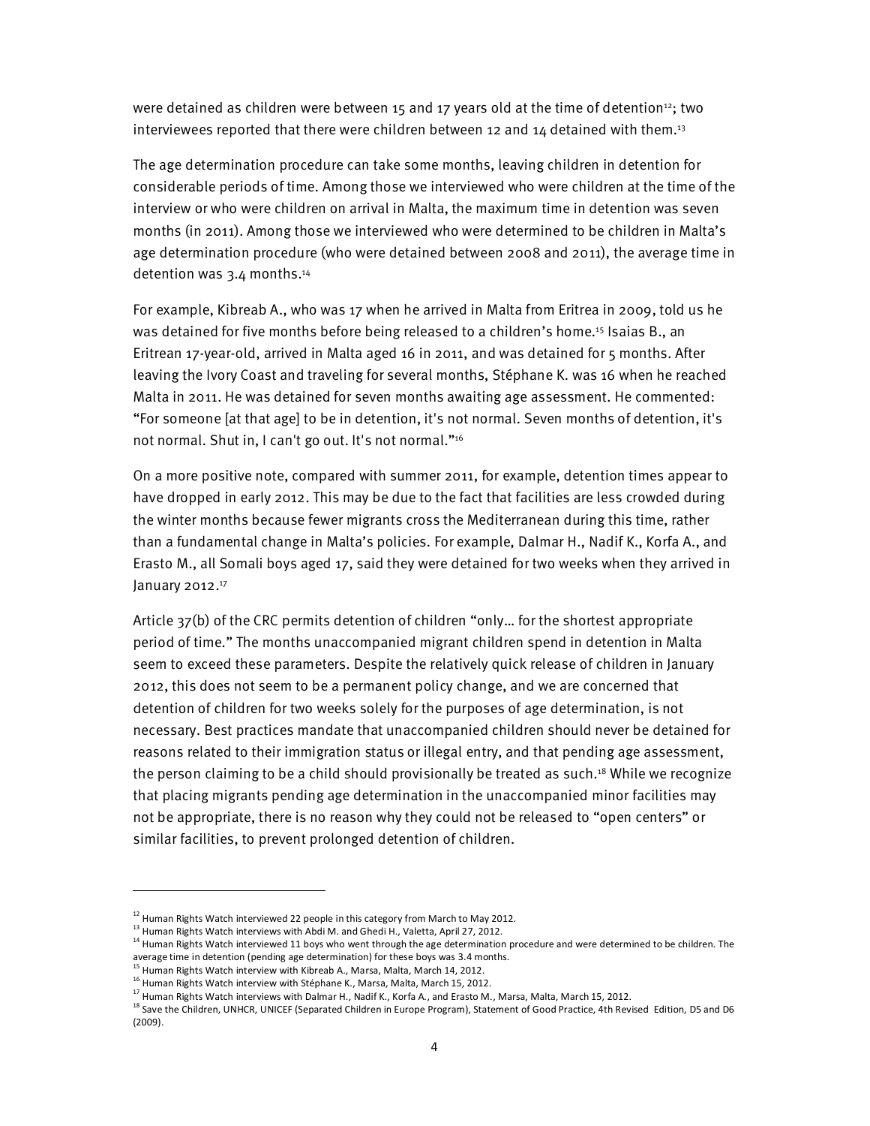were detained as children were between 15 and 17 years old at the time of detention<sup>12</sup>; two interviewees reported that there were children between 12 and 14 detained with them.<sup>13</sup>

The age determination procedure can take some months, leaving children in detention for considerable periods of time. Among those we interviewed who were children at the time of the interview or who were children on arrival in Malta, the maximum time in detention was seven months (in 2011). Among those we interviewed who were determined to be children in Malta's age determination procedure (who were detained between 2008 and 2011), the average time in detention was 3.4 months.<sup>14</sup>

For example, Kibreab A., who was 17 when he arrived in Malta from Eritrea in 2009, told us he was detained for five months before being released to a children's home.<sup>15</sup> Isaias B., an Eritrean 17-year-old, arrived in Malta aged 16 in 2011, and was detained for 5 months. After leaving the Ivory Coast and traveling for several months, Stéphane K. was 16 when he reached Malta in 2011. He was detained for seven months awaiting age assessment. He commented: "For someone [at that age] to be in detention, it's not normal. Seven months of detention, it's not normal. Shut in, I can't go out. It's not normal."<sup>16</sup>

On a more positive note, compared with summer 2011, for example, detention times appear to have dropped in early 2012. This may be due to the fact that facilities are less crowded during the winter months because fewer migrants cross the Mediterranean during this time, rather than a fundamental change in Malta's policies. For example, Dalmar H., Nadif K., Korfa A., and Erasto M., all Somali boys aged 17, said they were detained for two weeks when they arrived in January 2012.<sup>17</sup>

Article 37(b) of the CRC permits detention of children "only… for the shortest appropriate period of time." The months unaccompanied migrant children spend in detention in Malta seem to exceed these parameters. Despite the relatively quick release of children in January 2012, this does not seem to be a permanent policy change, and we are concerned that detention of children for two weeks solely for the purposes of age determination, is not necessary. Best practices mandate that unaccompanied children should never be detained for reasons related to their immigration status or illegal entry, and that pending age assessment, the person claiming to be a child should provisionally be treated as such.<sup>18</sup> While we recognize that placing migrants pending age determination in the unaccompanied minor facilities may not be appropriate, there is no reason why they could not be released to "open centers" or similar facilities, to prevent prolonged detention of children.

 $12$  Human Rights Watch interviewed 22 people in this category from March to May 2012.

<sup>13</sup> Human Rights Watch interviews with Abdi M. and Ghedi H., Valetta, April 27, 2012.

<sup>&</sup>lt;sup>14</sup> Human Rights Watch interviewed 11 boys who went through the age determination procedure and were determined to be children. The average time in detention (pending age determination) for these boys was 3.4 months.

Human Rights Watch interview with Kibreab A., Marsa, Malta, March 14, 2012.

<sup>16</sup> Human Rights Watch interview with Stéphane K., Marsa, Malta, March 15, 2012.

<sup>&</sup>lt;sup>17</sup> Human Rights Watch interviews with Dalmar H., Nadif K., Korfa A., and Erasto M., Marsa, Malta, March 15, 2012.

<sup>&</sup>lt;sup>18</sup> Save the Children, UNHCR, UNICEF (Separated Children in Europe Program), Statement of Good Practice, 4th Revised Edition, D5 and D6 (2009).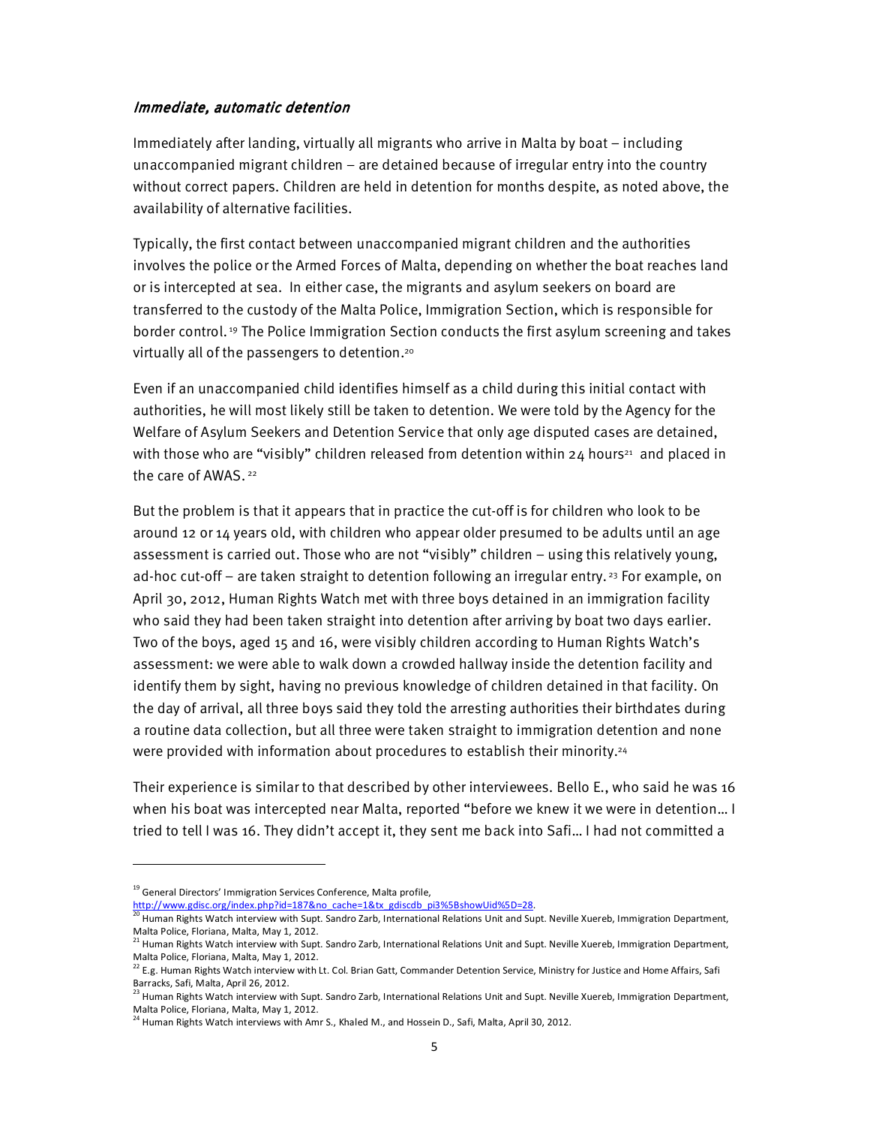## Immediate, automatic detention

Immediately after landing, virtually all migrants who arrive in Malta by boat – including unaccompanied migrant children – are detained because of irregular entry into the country without correct papers. Children are held in detention for months despite, as noted above, the availability of alternative facilities.

Typically, the first contact between unaccompanied migrant children and the authorities involves the police or the Armed Forces of Malta, depending on whether the boat reaches land or is intercepted at sea. In either case, the migrants and asylum seekers on board are transferred to the custody of the Malta Police, Immigration Section, which is responsible for border control. 19 The Police Immigration Section conducts the first asylum screening and takes virtually all of the passengers to detention.<sup>20</sup>

Even if an unaccompanied child identifies himself as a child during this initial contact with authorities, he will most likely still be taken to detention. We were told by the Agency for the Welfare of Asylum Seekers and Detention Service that only age disputed cases are detained, with those who are "visibly" children released from detention within 24 hours<sup>21</sup> and placed in the care of AWAS.<sup>22</sup>

But the problem is that it appears that in practice the cut-off is for children who look to be around 12 or 14 years old, with children who appear older presumed to be adults until an age assessment is carried out. Those who are not "visibly" children – using this relatively young, ad-hoc cut-off – are taken straight to detention following an irregular entry.<sup>23</sup> For example, on April 30, 2012, Human Rights Watch met with three boys detained in an immigration facility who said they had been taken straight into detention after arriving by boat two days earlier. Two of the boys, aged 15 and 16, were visibly children according to Human Rights Watch's assessment: we were able to walk down a crowded hallway inside the detention facility and identify them by sight, having no previous knowledge of children detained in that facility. On the day of arrival, all three boys said they told the arresting authorities their birthdates during a routine data collection, but all three were taken straight to immigration detention and none were provided with information about procedures to establish their minority. $^{24}$ 

Their experience is similar to that described by other interviewees. Bello E., who said he was 16 when his boat was intercepted near Malta, reported "before we knew it we were in detention… I tried to tell I was 16. They didn't accept it, they sent me back into Safi… I had not committed a

 $\overline{a}$ 

http://www.gdisc.org/index.php?id=187&no\_cache=1&tx\_gdiscdb\_pi3%5BshowUid%5D=28.

<sup>&</sup>lt;sup>19</sup> General Directors' Immigration Services Conference, Malta profile,

<sup>&</sup>lt;sup>20</sup> Human Rights Watch interview with Supt. Sandro Zarb, International Relations Unit and Supt. Neville Xuereb, Immigration Department, Malta Police, Floriana, Malta, May 1, 2012.

<sup>&</sup>lt;sup>21</sup> Human Rights Watch interview with Supt. Sandro Zarb, International Relations Unit and Supt. Neville Xuereb, Immigration Department, Malta Police, Floriana, Malta, May 1, 2012.

 $^{22}$  E.g. Human Rights Watch interview with Lt. Col. Brian Gatt, Commander Detention Service, Ministry for Justice and Home Affairs, Safi Barracks, Safi, Malta, April 26, 2012.

<sup>&</sup>lt;sup>23</sup> Human Rights Watch interview with Supt. Sandro Zarb, International Relations Unit and Supt. Neville Xuereb, Immigration Department, Malta Police, Floriana, Malta, May 1, 2012.

<sup>&</sup>lt;sup>24</sup> Human Rights Watch interviews with Amr S., Khaled M., and Hossein D., Safi, Malta, April 30, 2012.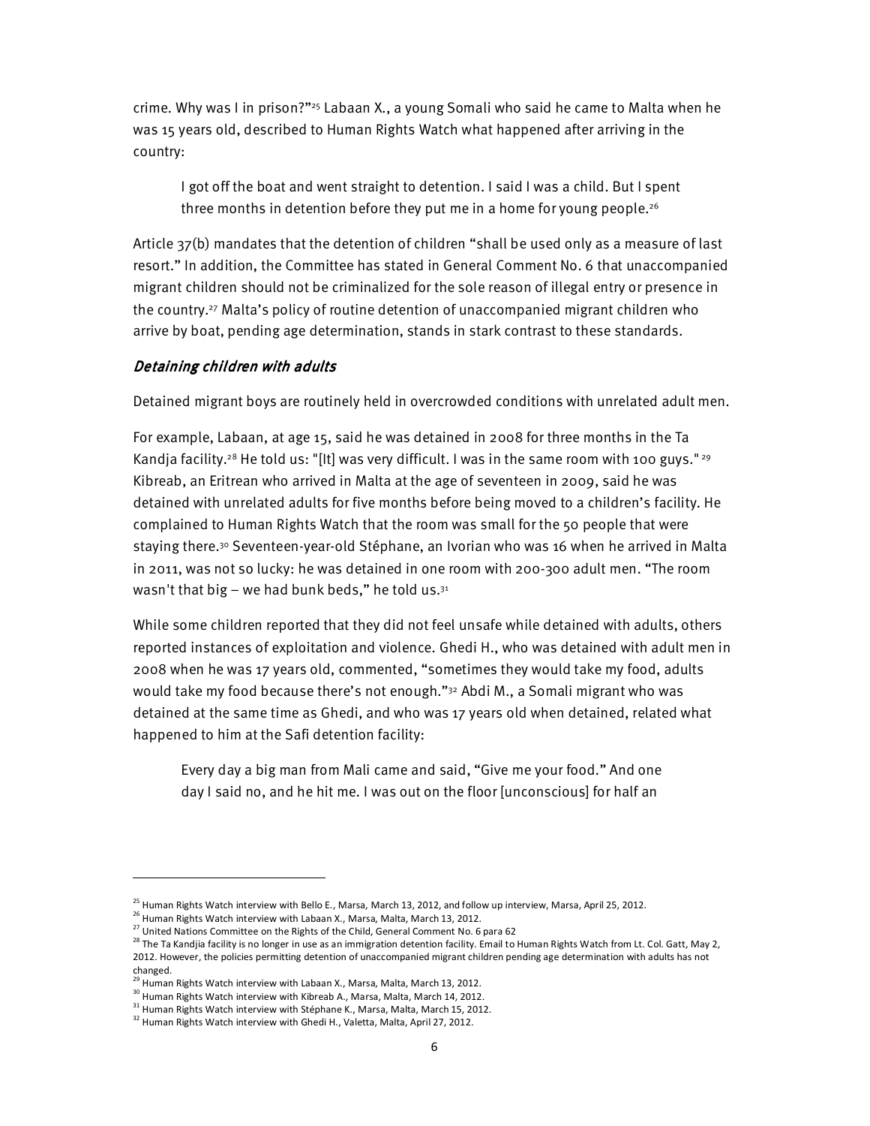crime. Why was I in prison?"25 Labaan X., a young Somali who said he came to Malta when he was 15 years old, described to Human Rights Watch what happened after arriving in the country:

I got off the boat and went straight to detention. I said I was a child. But I spent three months in detention before they put me in a home for young people.<sup>26</sup>

Article 37(b) mandates that the detention of children "shall be used only as a measure of last resort." In addition, the Committee has stated in General Comment No. 6 that unaccompanied migrant children should not be criminalized for the sole reason of illegal entry or presence in the country.27 Malta's policy of routine detention of unaccompanied migrant children who arrive by boat, pending age determination, stands in stark contrast to these standards.

## Detaining children with adults

Detained migrant boys are routinely held in overcrowded conditions with unrelated adult men.

For example, Labaan, at age 15, said he was detained in 2008 for three months in the Ta Kandja facility.<sup>28</sup> He told us: "[It] was very difficult. I was in the same room with 100 guys."<sup>29</sup> Kibreab, an Eritrean who arrived in Malta at the age of seventeen in 2009, said he was detained with unrelated adults for five months before being moved to a children's facility. He complained to Human Rights Watch that the room was small for the 50 people that were staying there.<sup>30</sup> Seventeen-year-old Stéphane, an Ivorian who was 16 when he arrived in Malta in 2011, was not so lucky: he was detained in one room with 200-300 adult men. "The room wasn't that big – we had bunk beds," he told us. $^{31}$ 

While some children reported that they did not feel unsafe while detained with adults, others reported instances of exploitation and violence. Ghedi H., who was detained with adult men in 2008 when he was 17 years old, commented, "sometimes they would take my food, adults would take my food because there's not enough."<sup>32</sup> Abdi M., a Somali migrant who was detained at the same time as Ghedi, and who was 17 years old when detained, related what happened to him at the Safi detention facility:

Every day a big man from Mali came and said, "Give me your food." And one day I said no, and he hit me. I was out on the floor [unconscious] for half an

 $^{25}$  Human Rights Watch interview with Bello E., Marsa, March 13, 2012, and follow up interview, Marsa, April 25, 2012.

<sup>&</sup>lt;sup>26</sup> Human Rights Watch interview with Labaan X., Marsa, Malta, March 13, 2012.

<sup>&</sup>lt;sup>27</sup> United Nations Committee on the Rights of the Child, General Comment No. 6 para 62

 $^{28}$  The Ta Kandjia facility is no longer in use as an immigration detention facility. Email to Human Rights Watch from Lt. Col. Gatt, May 2, 2012. However, the policies permitting detention of unaccompanied migrant children pending age determination with adults has not changed.

Human Rights Watch interview with Labaan X., Marsa, Malta, March 13, 2012.

<sup>&</sup>lt;sup>30</sup> Human Rights Watch interview with Kibreab A., Marsa, Malta, March 14, 2012.

<sup>&</sup>lt;sup>31</sup> Human Rights Watch interview with Stéphane K., Marsa, Malta, March 15, 2012.

<sup>&</sup>lt;sup>32</sup> Human Rights Watch interview with Ghedi H., Valetta, Malta, April 27, 2012.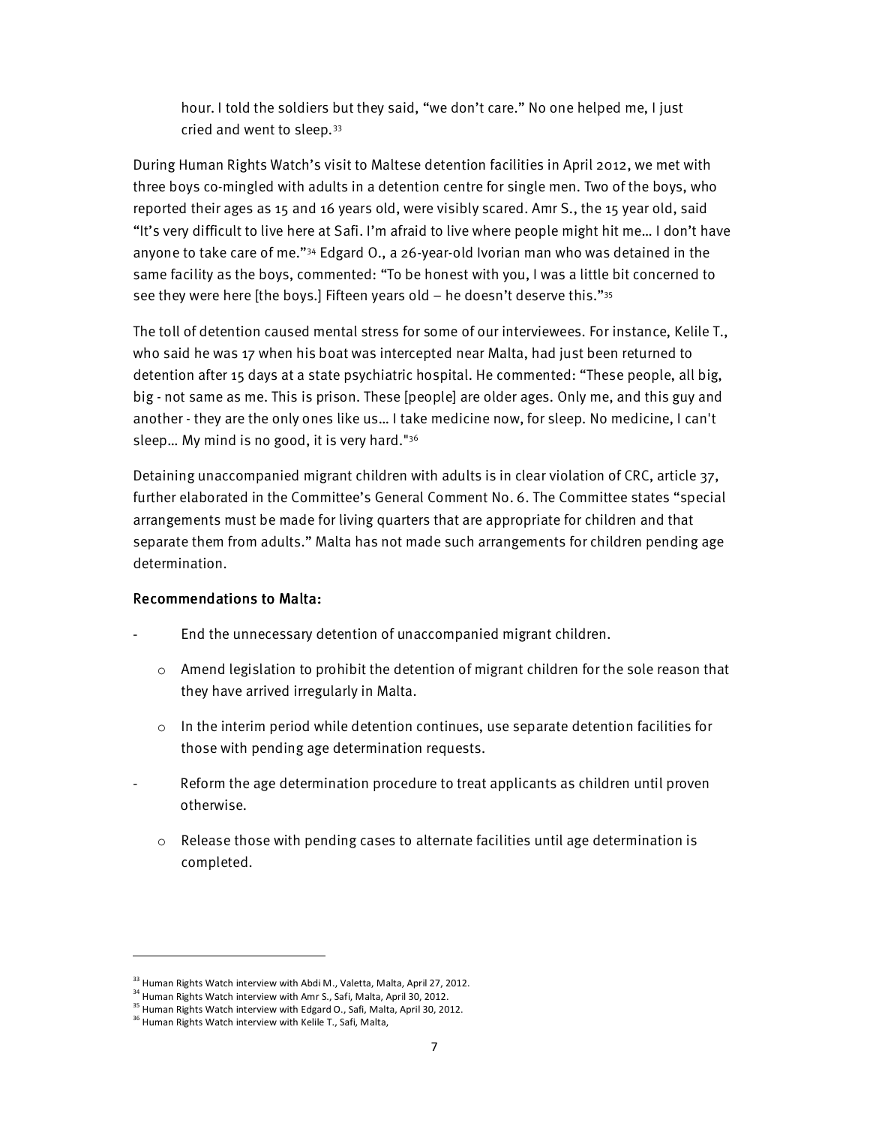hour. I told the soldiers but they said, "we don't care." No one helped me, I just cried and went to sleep.<sup>33</sup>

During Human Rights Watch's visit to Maltese detention facilities in April 2012, we met with three boys co-mingled with adults in a detention centre for single men. Two of the boys, who reported their ages as 15 and 16 years old, were visibly scared. Amr S., the 15 year old, said "It's very difficult to live here at Safi. I'm afraid to live where people might hit me… I don't have anyone to take care of me."34 Edgard O., a 26-year-old Ivorian man who was detained in the same facility as the boys, commented: "To be honest with you, I was a little bit concerned to see they were here [the boys.] Fifteen years old  $-$  he doesn't deserve this." $35$ 

The toll of detention caused mental stress for some of our interviewees. For instance, Kelile T., who said he was 17 when his boat was intercepted near Malta, had just been returned to detention after 15 days at a state psychiatric hospital. He commented: "These people, all big, big - not same as me. This is prison. These [people] are older ages. Only me, and this guy and another - they are the only ones like us… I take medicine now, for sleep. No medicine, I can't sleep… My mind is no good, it is very hard."<sup>36</sup>

Detaining unaccompanied migrant children with adults is in clear violation of CRC, article 37, further elaborated in the Committee's General Comment No. 6. The Committee states "special arrangements must be made for living quarters that are appropriate for children and that separate them from adults." Malta has not made such arrangements for children pending age determination.

## Recommendations to Malta:

- End the unnecessary detention of unaccompanied migrant children.
	- $\circ$  Amend legislation to prohibit the detention of migrant children for the sole reason that they have arrived irregularly in Malta.
	- $\circ$  In the interim period while detention continues, use separate detention facilities for those with pending age determination requests.
	- Reform the age determination procedure to treat applicants as children until proven otherwise.
		- $\circ$  Release those with pending cases to alternate facilities until age determination is completed.

<sup>&</sup>lt;sup>33</sup> Human Rights Watch interview with Abdi M., Valetta, Malta, April 27, 2012.

<sup>&</sup>lt;sup>34</sup> Human Rights Watch interview with Amr S., Safi, Malta, April 30, 2012.

<sup>&</sup>lt;sup>35</sup> Human Rights Watch interview with Edgard O., Safi, Malta, April 30, 2012.

<sup>&</sup>lt;sup>36</sup> Human Rights Watch interview with Kelile T., Safi, Malta,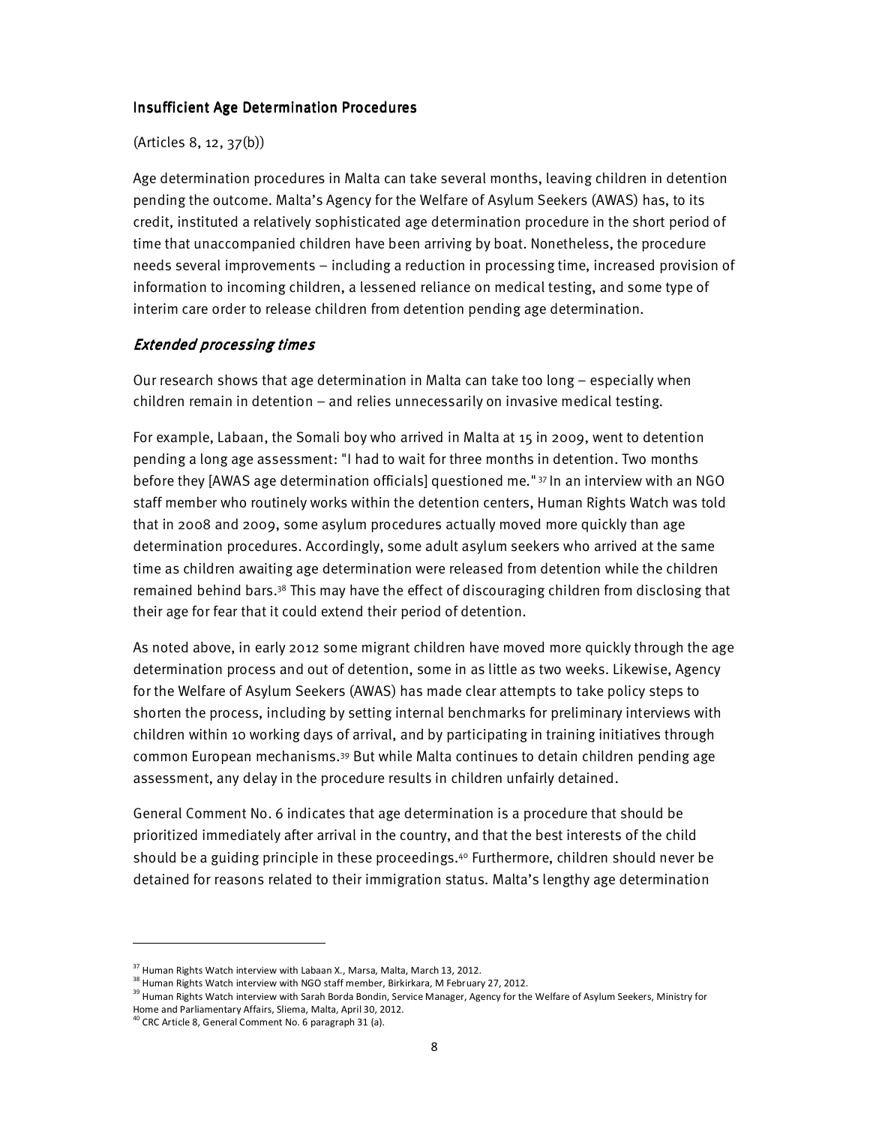#### **Insufficient Age Determination Procedures**

### (Articles 8, 12, 37(b))

Age determination procedures in Malta can take several months, leaving children in detention pending the outcome. Malta's Agency for the Welfare of Asylum Seekers (AWAS) has, to its credit, instituted a relatively sophisticated age determination procedure in the short period of time that unaccompanied children have been arriving by boat. Nonetheless, the procedure needs several improvements – including a reduction in processing time, increased provision of information to incoming children, a lessened reliance on medical testing, and some type of interim care order to release children from detention pending age determination.

## **Extended processing times**

Our research shows that age determination in Malta can take too long – especially when children remain in detention – and relies unnecessarily on invasive medical testing.

For example, Labaan, the Somali boy who arrived in Malta at 15 in 2009, went to detention pending a long age assessment: "I had to wait for three months in detention. Two months before they [AWAS age determination officials] questioned me." 37 In an interview with an NGO staff member who routinely works within the detention centers, Human Rights Watch was told that in 2008 and 2009, some asylum procedures actually moved more quickly than age determination procedures. Accordingly, some adult asylum seekers who arrived at the same time as children awaiting age determination were released from detention while the children remained behind bars.38 This may have the effect of discouraging children from disclosing that their age for fear that it could extend their period of detention.

As noted above, in early 2012 some migrant children have moved more quickly through the age determination process and out of detention, some in as little as two weeks. Likewise, Agency for the Welfare of Asylum Seekers (AWAS) has made clear attempts to take policy steps to shorten the process, including by setting internal benchmarks for preliminary interviews with children within 10 working days of arrival, and by participating in training initiatives through common European mechanisms.39 But while Malta continues to detain children pending age assessment, any delay in the procedure results in children unfairly detained.

General Comment No. 6 indicates that age determination is a procedure that should be prioritized immediately after arrival in the country, and that the best interests of the child should be a guiding principle in these proceedings.40 Furthermore, children should never be detained for reasons related to their immigration status. Malta's lengthy age determination

 $37$  Human Rights Watch interview with Labaan X., Marsa, Malta, March 13, 2012.

 $38$  Human Rights Watch interview with NGO staff member, Birkirkara, M February 27, 2012.

<sup>&</sup>lt;sup>39</sup> Human Rights Watch interview with Sarah Borda Bondin, Service Manager, Agency for the Welfare of Asylum Seekers, Ministry for Home and Parliamentary Affairs, Sliema, Malta, April 30, 2012.

 $40$  CRC Article 8, General Comment No. 6 paragraph 31 (a).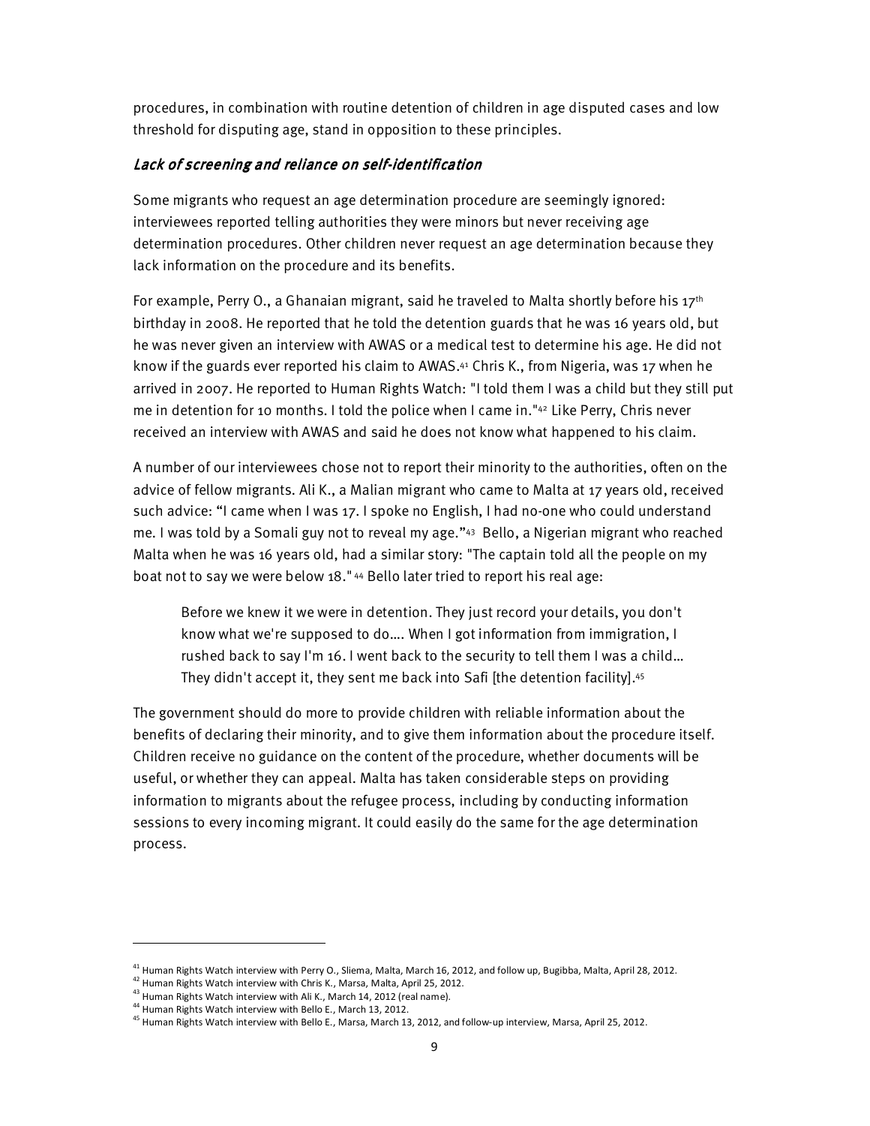procedures, in combination with routine detention of children in age disputed cases and low threshold for disputing age, stand in opposition to these principles.

## Lack of screening and reliance on self-identification

Some migrants who request an age determination procedure are seemingly ignored: interviewees reported telling authorities they were minors but never receiving age determination procedures. Other children never request an age determination because they lack information on the procedure and its benefits.

For example, Perry O., a Ghanaian migrant, said he traveled to Malta shortly before his  $17<sup>th</sup>$ birthday in 2008. He reported that he told the detention guards that he was 16 years old, but he was never given an interview with AWAS or a medical test to determine his age. He did not know if the guards ever reported his claim to AWAS.41 Chris K., from Nigeria, was 17 when he arrived in 2007. He reported to Human Rights Watch: "I told them I was a child but they still put me in detention for 10 months. I told the police when I came in."42 Like Perry, Chris never received an interview with AWAS and said he does not know what happened to his claim.

A number of our interviewees chose not to report their minority to the authorities, often on the advice of fellow migrants. Ali K., a Malian migrant who came to Malta at 17 years old, received such advice: "I came when I was 17. I spoke no English, I had no-one who could understand me. I was told by a Somali guy not to reveal my age."43 Bello, a Nigerian migrant who reached Malta when he was 16 years old, had a similar story: "The captain told all the people on my boat not to say we were below 18." 44 Bello later tried to report his real age:

Before we knew it we were in detention. They just record your details, you don't know what we're supposed to do…. When I got information from immigration, I rushed back to say I'm 16. I went back to the security to tell them I was a child… They didn't accept it, they sent me back into Safi [the detention facility].<sup>45</sup>

The government should do more to provide children with reliable information about the benefits of declaring their minority, and to give them information about the procedure itself. Children receive no guidance on the content of the procedure, whether documents will be useful, or whether they can appeal. Malta has taken considerable steps on providing information to migrants about the refugee process, including by conducting information sessions to every incoming migrant. It could easily do the same for the age determination process.

 $^{41}$  Human Rights Watch interview with Perry O., Sliema, Malta, March 16, 2012, and follow up, Bugibba, Malta, April 28, 2012.

 $42$  Human Rights Watch interview with Chris K., Marsa, Malta, April 25, 2012.

<sup>&</sup>lt;sup>43</sup> Human Rights Watch interview with Ali K., March 14, 2012 (real name).

<sup>44</sup> Human Rights Watch interview with Bello E., March 13, 2012.

<sup>&</sup>lt;sup>45</sup> Human Rights Watch interview with Bello E., Marsa, March 13, 2012, and follow-up interview, Marsa, April 25, 2012.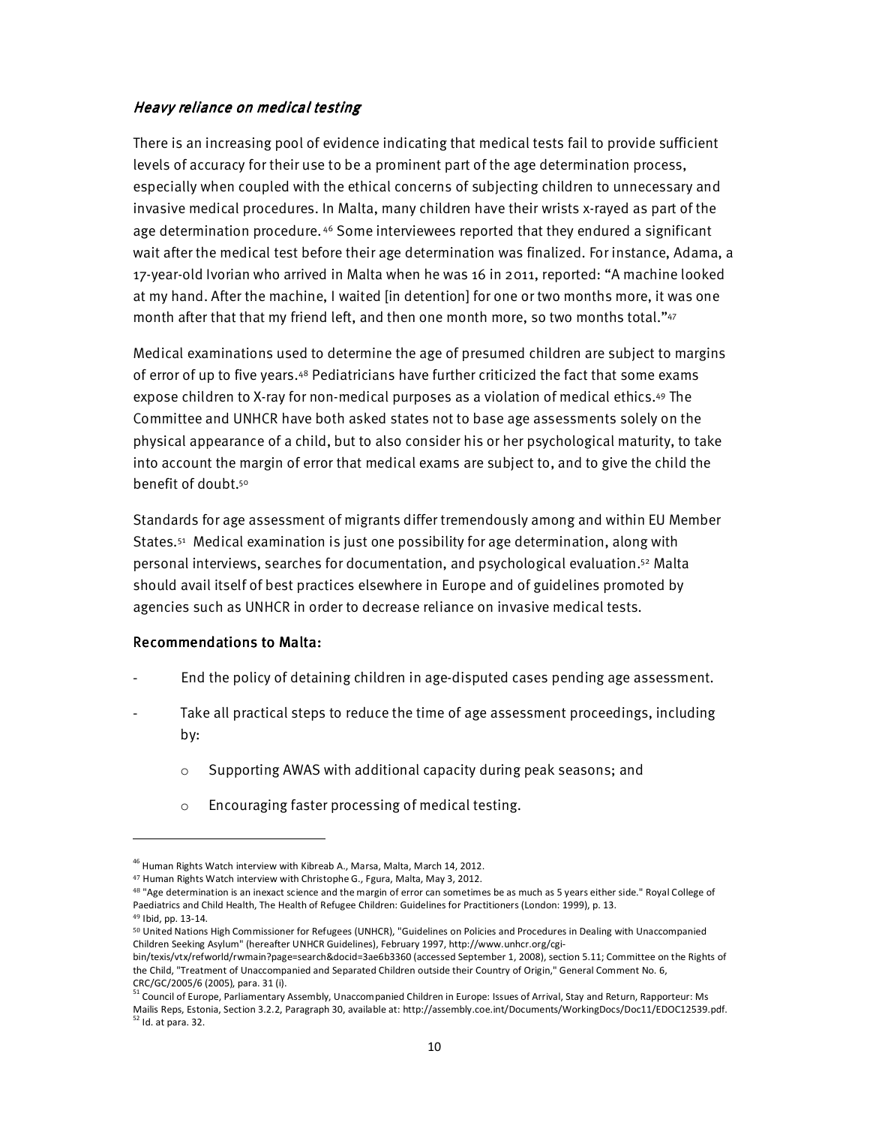## Heavy reliance on medical testing

There is an increasing pool of evidence indicating that medical tests fail to provide sufficient levels of accuracy for their use to be a prominent part of the age determination process, especially when coupled with the ethical concerns of subjecting children to unnecessary and invasive medical procedures. In Malta, many children have their wrists x-rayed as part of the age determination procedure. 46 Some interviewees reported that they endured a significant wait after the medical test before their age determination was finalized. For instance, Adama, a 17-year-old Ivorian who arrived in Malta when he was 16 in 2011, reported: "A machine looked at my hand. After the machine, I waited [in detention] for one or two months more, it was one month after that that my friend left, and then one month more, so two months total."<sup>47</sup>

Medical examinations used to determine the age of presumed children are subject to margins of error of up to five years.48 Pediatricians have further criticized the fact that some exams expose children to X-ray for non-medical purposes as a violation of medical ethics.49 The Committee and UNHCR have both asked states not to base age assessments solely on the physical appearance of a child, but to also consider his or her psychological maturity, to take into account the margin of error that medical exams are subject to, and to give the child the benefit of doubt.<sup>50</sup>

Standards for age assessment of migrants differ tremendously among and within EU Member States.51 Medical examination is just one possibility for age determination, along with personal interviews, searches for documentation, and psychological evaluation.52 Malta should avail itself of best practices elsewhere in Europe and of guidelines promoted by agencies such as UNHCR in order to decrease reliance on invasive medical tests.

## Recommendations to Malta:

- End the policy of detaining children in age-disputed cases pending age assessment.
- Take all practical steps to reduce the time of age assessment proceedings, including by:
	- o Supporting AWAS with additional capacity during peak seasons; and
	- o Encouraging faster processing of medical testing.

<sup>49</sup> Ibid, pp. 13-14.

<sup>&</sup>lt;sup>46</sup> Human Rights Watch interview with Kibreab A., Marsa, Malta, March 14, 2012.

<sup>&</sup>lt;sup>47</sup> Human Rights Watch interview with Christophe G., Fgura, Malta, May 3, 2012.

<sup>48 &</sup>quot;Age determination is an inexact science and the margin of error can sometimes be as much as 5 years either side." Royal College of Paediatrics and Child Health, The Health of Refugee Children: Guidelines for Practitioners (London: 1999), p. 13.

<sup>50</sup> United Nations High Commissioner for Refugees (UNHCR), "Guidelines on Policies and Procedures in Dealing with Unaccompanied Children Seeking Asylum" (hereafter UNHCR Guidelines), February 1997, http://www.unhcr.org/cgi-

bin/texis/vtx/refworld/rwmain?page=search&docid=3ae6b3360 (accessed September 1, 2008), section 5.11; Committee on the Rights of the Child, "Treatment of Unaccompanied and Separated Children outside their Country of Origin," General Comment No. 6, CRC/GC/2005/6 (2005), para. 31 (i).

<sup>&</sup>lt;sup>51</sup> Council of Europe, Parliamentary Assembly, Unaccompanied Children in Europe: Issues of Arrival, Stay and Return, Rapporteur: Ms Mailis Reps, Estonia, Section 3.2.2, Paragraph 30, available at: http://assembly.coe.int/Documents/WorkingDocs/Doc11/EDOC12539.pdf.  $52$  Id. at para. 32.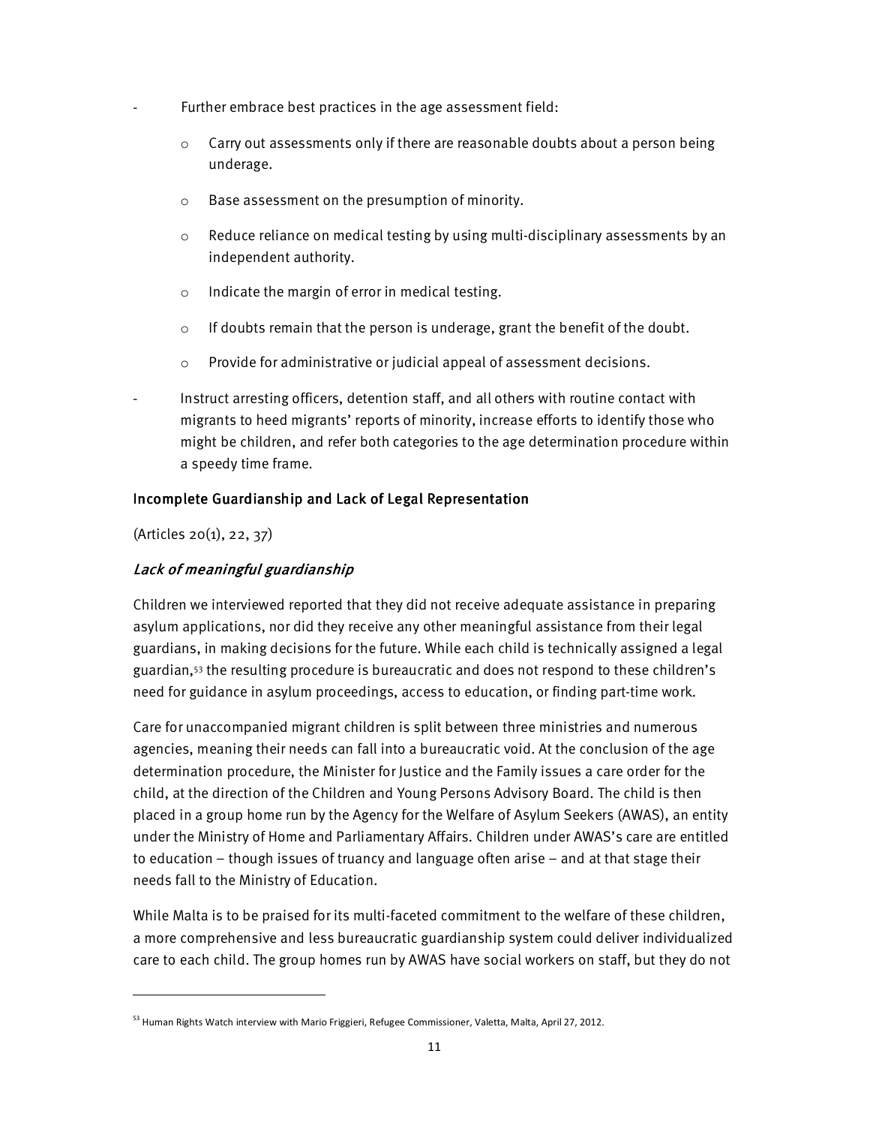- Further embrace best practices in the age assessment field:
	- $\circ$  Carry out assessments only if there are reasonable doubts about a person being underage.
	- o Base assessment on the presumption of minority.
	- $\circ$  Reduce reliance on medical testing by using multi-disciplinary assessments by an independent authority.
	- o Indicate the margin of error in medical testing.
	- o If doubts remain that the person is underage, grant the benefit of the doubt.
	- o Provide for administrative or judicial appeal of assessment decisions.

Instruct arresting officers, detention staff, and all others with routine contact with migrants to heed migrants' reports of minority, increase efforts to identify those who might be children, and refer both categories to the age determination procedure within a speedy time frame.

## Incomplete Guardianship and Lack of Legal Representation

(Articles 20(1), 22, 37)

 $\overline{a}$ 

## Lack of meaningful guardianship

Children we interviewed reported that they did not receive adequate assistance in preparing asylum applications, nor did they receive any other meaningful assistance from their legal guardians, in making decisions for the future. While each child is technically assigned a legal guardian,53 the resulting procedure is bureaucratic and does not respond to these children's need for guidance in asylum proceedings, access to education, or finding part-time work.

Care for unaccompanied migrant children is split between three ministries and numerous agencies, meaning their needs can fall into a bureaucratic void. At the conclusion of the age determination procedure, the Minister for Justice and the Family issues a care order for the child, at the direction of the Children and Young Persons Advisory Board. The child is then placed in a group home run by the Agency for the Welfare of Asylum Seekers (AWAS), an entity under the Ministry of Home and Parliamentary Affairs. Children under AWAS's care are entitled to education – though issues of truancy and language often arise – and at that stage their needs fall to the Ministry of Education.

While Malta is to be praised for its multi-faceted commitment to the welfare of these children, a more comprehensive and less bureaucratic guardianship system could deliver individualized care to each child. The group homes run by AWAS have social workers on staff, but they do not

<sup>&</sup>lt;sup>53</sup> Human Rights Watch interview with Mario Friggieri, Refugee Commissioner, Valetta, Malta, April 27, 2012.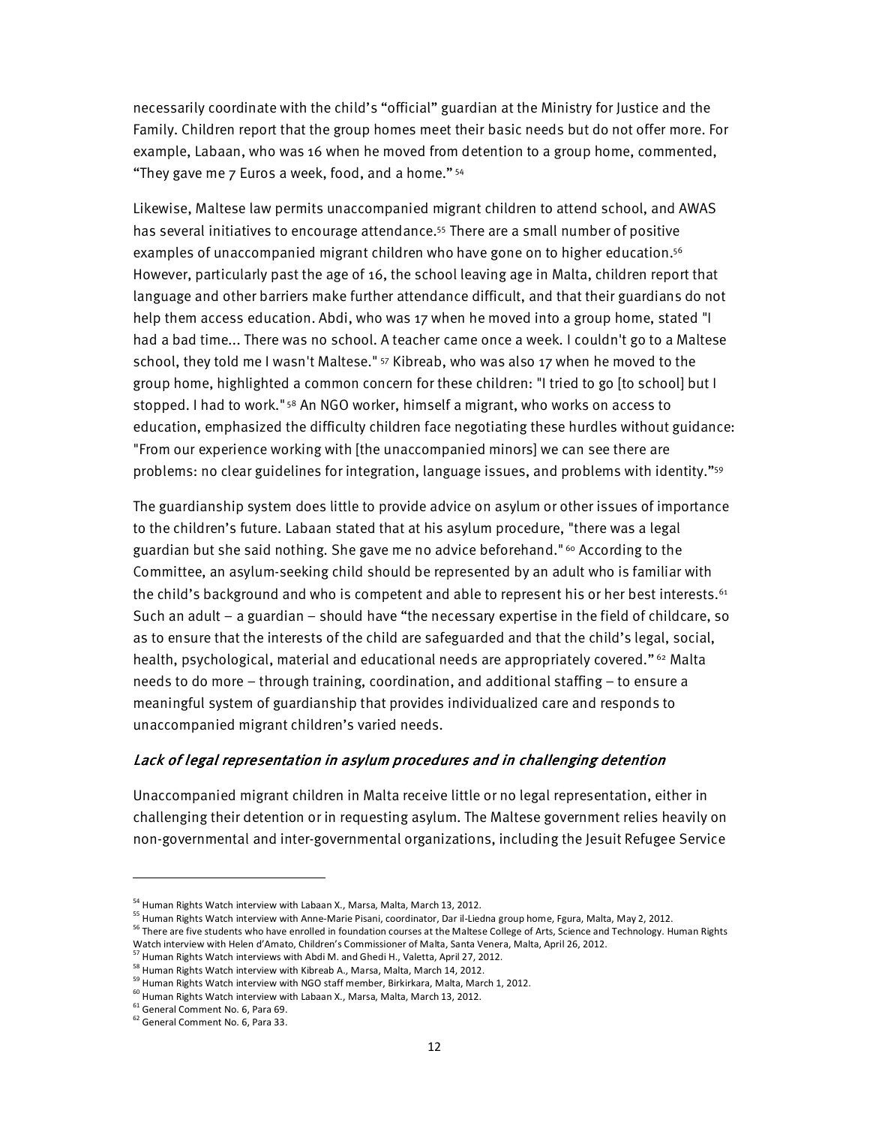necessarily coordinate with the child's "official" guardian at the Ministry for Justice and the Family. Children report that the group homes meet their basic needs but do not offer more. For example, Labaan, who was 16 when he moved from detention to a group home, commented, "They gave me 7 Euros a week, food, and a home." 54

Likewise, Maltese law permits unaccompanied migrant children to attend school, and AWAS has several initiatives to encourage attendance.55 There are a small number of positive examples of unaccompanied migrant children who have gone on to higher education.<sup>56</sup> However, particularly past the age of 16, the school leaving age in Malta, children report that language and other barriers make further attendance difficult, and that their guardians do not help them access education. Abdi, who was 17 when he moved into a group home, stated "I had a bad time... There was no school. A teacher came once a week. I couldn't go to a Maltese school, they told me I wasn't Maltese." 57 Kibreab, who was also 17 when he moved to the group home, highlighted a common concern for these children: "I tried to go [to school] but I stopped. I had to work."<sup>58</sup> An NGO worker, himself a migrant, who works on access to education, emphasized the difficulty children face negotiating these hurdles without guidance: "From our experience working with [the unaccompanied minors] we can see there are problems: no clear guidelines for integration, language issues, and problems with identity."<sup>59</sup>

The guardianship system does little to provide advice on asylum or other issues of importance to the children's future. Labaan stated that at his asylum procedure, "there was a legal guardian but she said nothing. She gave me no advice beforehand." 60 According to the Committee, an asylum-seeking child should be represented by an adult who is familiar with the child's background and who is competent and able to represent his or her best interests.<sup>61</sup> Such an adult – a guardian – should have "the necessary expertise in the field of childcare, so as to ensure that the interests of the child are safeguarded and that the child's legal, social, health, psychological, material and educational needs are appropriately covered."<sup>62</sup> Malta needs to do more – through training, coordination, and additional staffing – to ensure a meaningful system of guardianship that provides individualized care and responds to unaccompanied migrant children's varied needs.

## Lack of legal representation in asylum procedures and in challenging detention

Unaccompanied migrant children in Malta receive little or no legal representation, either in challenging their detention or in requesting asylum. The Maltese government relies heavily on non-governmental and inter-governmental organizations, including the Jesuit Refugee Service

<sup>&</sup>lt;sup>54</sup> Human Rights Watch interview with Labaan X., Marsa, Malta, March 13, 2012.

<sup>&</sup>lt;sup>55</sup> Human Rights Watch interview with Anne-Marie Pisani, coordinator, Dar il-Liedna group home, Fgura, Malta, May 2, 2012.

<sup>&</sup>lt;sup>56</sup> There are five students who have enrolled in foundation courses at the Maltese College of Arts, Science and Technology. Human Rights Watch interview with Helen d'Amato, Children's Commissioner of Malta, Santa Venera, Malta, April 26, 2012.

<sup>57</sup> Human Rights Watch interviews with Abdi M. and Ghedi H., Valetta, April 27, 2012.

<sup>&</sup>lt;sup>58</sup> Human Rights Watch interview with Kibreab A., Marsa, Malta, March 14, 2012.

<sup>59</sup> Human Rights Watch interview with NGO staff member, Birkirkara, Malta, March 1, 2012.

<sup>&</sup>lt;sup>60</sup> Human Rights Watch interview with Labaan X., Marsa, Malta, March 13, 2012.

<sup>61</sup> General Comment No. 6, Para 69.

<sup>&</sup>lt;sup>62</sup> General Comment No. 6, Para 33.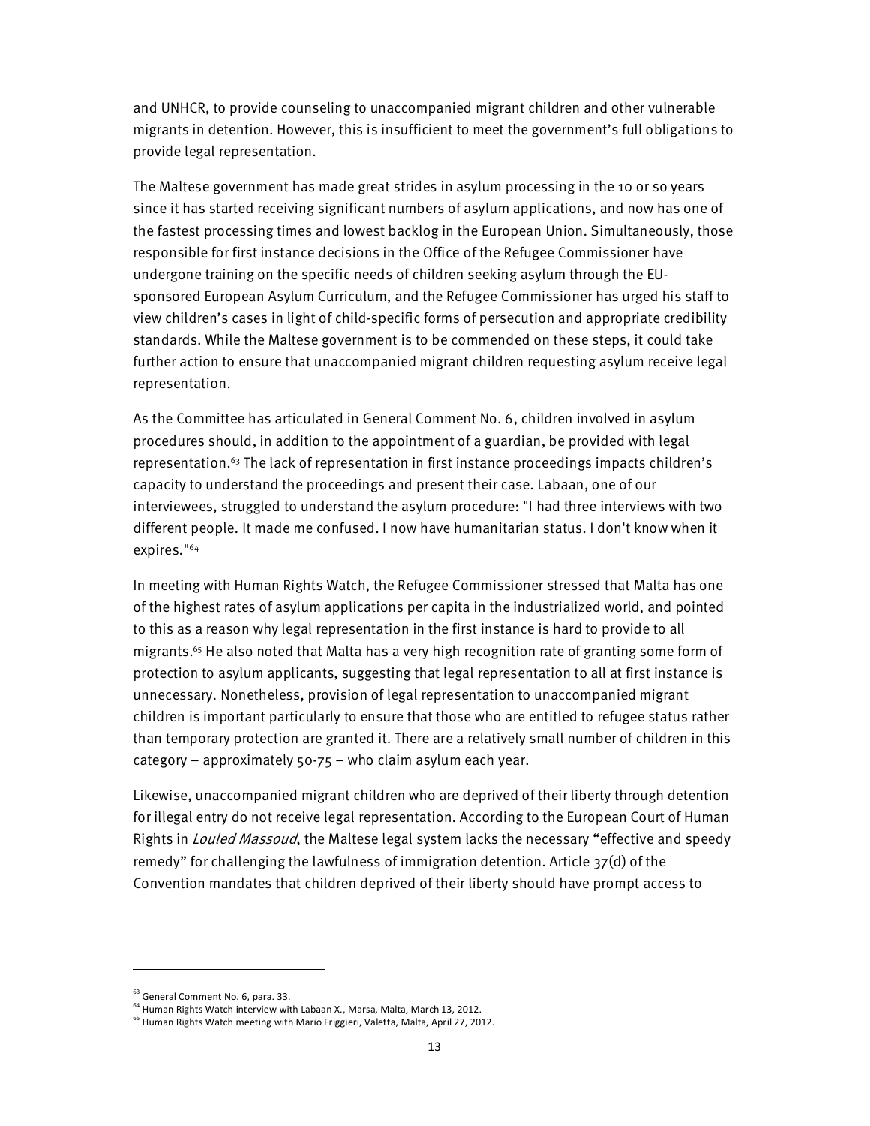and UNHCR, to provide counseling to unaccompanied migrant children and other vulnerable migrants in detention. However, this is insufficient to meet the government's full obligations to provide legal representation.

The Maltese government has made great strides in asylum processing in the 10 or so years since it has started receiving significant numbers of asylum applications, and now has one of the fastest processing times and lowest backlog in the European Union. Simultaneously, those responsible for first instance decisions in the Office of the Refugee Commissioner have undergone training on the specific needs of children seeking asylum through the EUsponsored European Asylum Curriculum, and the Refugee Commissioner has urged his staff to view children's cases in light of child-specific forms of persecution and appropriate credibility standards. While the Maltese government is to be commended on these steps, it could take further action to ensure that unaccompanied migrant children requesting asylum receive legal representation.

As the Committee has articulated in General Comment No. 6, children involved in asylum procedures should, in addition to the appointment of a guardian, be provided with legal representation.63 The lack of representation in first instance proceedings impacts children's capacity to understand the proceedings and present their case. Labaan, one of our interviewees, struggled to understand the asylum procedure: "I had three interviews with two different people. It made me confused. I now have humanitarian status. I don't know when it expires."<sup>64</sup>

In meeting with Human Rights Watch, the Refugee Commissioner stressed that Malta has one of the highest rates of asylum applications per capita in the industrialized world, and pointed to this as a reason why legal representation in the first instance is hard to provide to all migrants.65 He also noted that Malta has a very high recognition rate of granting some form of protection to asylum applicants, suggesting that legal representation to all at first instance is unnecessary. Nonetheless, provision of legal representation to unaccompanied migrant children is important particularly to ensure that those who are entitled to refugee status rather than temporary protection are granted it. There are a relatively small number of children in this category – approximately 50-75 – who claim asylum each year.

Likewise, unaccompanied migrant children who are deprived of their liberty through detention for illegal entry do not receive legal representation. According to the European Court of Human Rights in *Louled Massoud*, the Maltese legal system lacks the necessary "effective and speedy remedy" for challenging the lawfulness of immigration detention. Article 37(d) of the Convention mandates that children deprived of their liberty should have prompt access to

<sup>&</sup>lt;sup>63</sup> General Comment No. 6, para. 33.

<sup>&</sup>lt;sup>64</sup> Human Rights Watch interview with Labaan X., Marsa, Malta, March 13, 2012.

<sup>65</sup> Human Rights Watch meeting with Mario Friggieri, Valetta, Malta, April 27, 2012.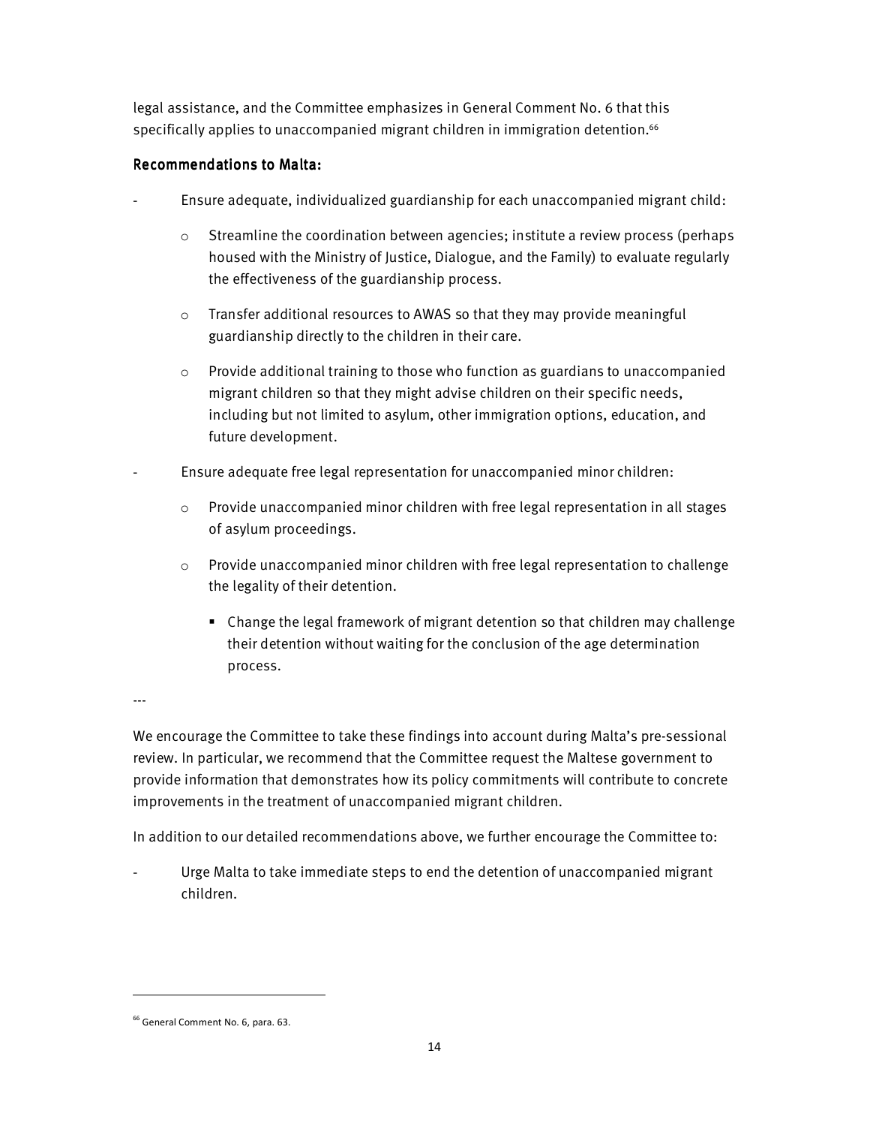legal assistance, and the Committee emphasizes in General Comment No. 6 that this specifically applies to unaccompanied migrant children in immigration detention.<sup>66</sup>

# Recommendations to Malta:

- Ensure adequate, individualized guardianship for each unaccompanied migrant child:
	- $\circ$  Streamline the coordination between agencies; institute a review process (perhaps housed with the Ministry of Justice, Dialogue, and the Family) to evaluate regularly the effectiveness of the guardianship process.
	- o Transfer additional resources to AWAS so that they may provide meaningful guardianship directly to the children in their care.
	- $\circ$  Provide additional training to those who function as guardians to unaccompanied migrant children so that they might advise children on their specific needs, including but not limited to asylum, other immigration options, education, and future development.
- Ensure adequate free legal representation for unaccompanied minor children:
	- $\circ$  Provide unaccompanied minor children with free legal representation in all stages of asylum proceedings.
	- $\circ$  Provide unaccompanied minor children with free legal representation to challenge the legality of their detention.
		- Change the legal framework of migrant detention so that children may challenge their detention without waiting for the conclusion of the age determination process.

---

 $\overline{a}$ 

We encourage the Committee to take these findings into account during Malta's pre-sessional review. In particular, we recommend that the Committee request the Maltese government to provide information that demonstrates how its policy commitments will contribute to concrete improvements in the treatment of unaccompanied migrant children.

In addition to our detailed recommendations above, we further encourage the Committee to:

Urge Malta to take immediate steps to end the detention of unaccompanied migrant children.

<sup>&</sup>lt;sup>66</sup> General Comment No. 6, para. 63.